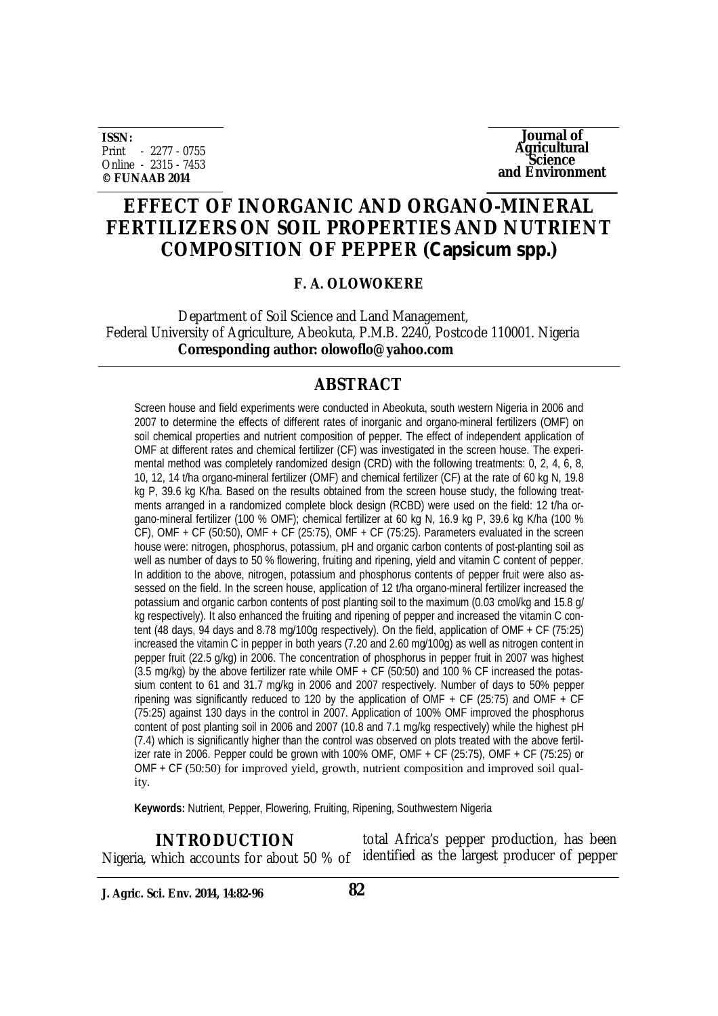**ISSN:** Print - 2277 - 0755 Online - 2315 - 7453 **© FUNAAB 2014**

**Journal of Agricultural Science and Environment**

## **EFFECT OF INORGANIC AND ORGANO-MINERAL FERTILIZERS ON SOIL PROPERTIES AND NUTRIENT COMPOSITION OF PEPPER (***Capsicum spp.***)**

## **F. A. OLOWOKERE**

 Department of Soil Science and Land Management, Federal University of Agriculture, Abeokuta, P.M.B. 2240, Postcode 110001. Nigeria  **Corresponding author: olowoflo@yahoo.com**

## **ABSTRACT**

Screen house and field experiments were conducted in Abeokuta, south western Nigeria in 2006 and 2007 to determine the effects of different rates of inorganic and organo-mineral fertilizers (OMF) on soil chemical properties and nutrient composition of pepper. The effect of independent application of OMF at different rates and chemical fertilizer (CF) was investigated in the screen house. The experimental method was completely randomized design (CRD) with the following treatments: 0, 2, 4, 6, 8, 10, 12, 14 t/ha organo-mineral fertilizer (OMF) and chemical fertilizer (CF) at the rate of 60 kg N, 19.8 kg P, 39.6 kg K/ha. Based on the results obtained from the screen house study, the following treatments arranged in a randomized complete block design (RCBD) were used on the field: 12 t/ha organo-mineral fertilizer (100 % OMF); chemical fertilizer at 60 kg N, 16.9 kg P, 39.6 kg K/ha (100 % CF), OMF + CF (50:50), OMF + CF (25:75), OMF + CF (75:25). Parameters evaluated in the screen house were: nitrogen, phosphorus, potassium, pH and organic carbon contents of post-planting soil as well as number of days to 50 % flowering, fruiting and ripening, yield and vitamin C content of pepper. In addition to the above, nitrogen, potassium and phosphorus contents of pepper fruit were also assessed on the field. In the screen house, application of 12 t/ha organo-mineral fertilizer increased the potassium and organic carbon contents of post planting soil to the maximum (0.03 cmol/kg and 15.8 g/ kg respectively). It also enhanced the fruiting and ripening of pepper and increased the vitamin C content (48 days, 94 days and 8.78 mg/100g respectively). On the field, application of OMF + CF (75:25) increased the vitamin C in pepper in both years (7.20 and 2.60 mg/100g) as well as nitrogen content in pepper fruit (22.5 g/kg) in 2006. The concentration of phosphorus in pepper fruit in 2007 was highest (3.5 mg/kg) by the above fertilizer rate while OMF + CF (50:50) and 100 % CF increased the potassium content to 61 and 31.7 mg/kg in 2006 and 2007 respectively. Number of days to 50% pepper ripening was significantly reduced to 120 by the application of OMF + CF (25:75) and OMF + CF (75:25) against 130 days in the control in 2007. Application of 100% OMF improved the phosphorus content of post planting soil in 2006 and 2007 (10.8 and 7.1 mg/kg respectively) while the highest pH (7.4) which is significantly higher than the control was observed on plots treated with the above fertilizer rate in 2006. Pepper could be grown with 100% OMF, OMF  $+$  CF (25:75), OMF  $+$  CF (75:25) or OMF + CF (50:50) for improved yield, growth, nutrient composition and improved soil quality.

**Keywords:** Nutrient, Pepper, Flowering, Fruiting, Ripening, Southwestern Nigeria

total Africa's pepper production, has been Nigeria, which accounts for about 50 % of identified as the largest producer of pepper **INTRODUCTION**

**J. Agric. Sci. Env. 2014, 14:82-96**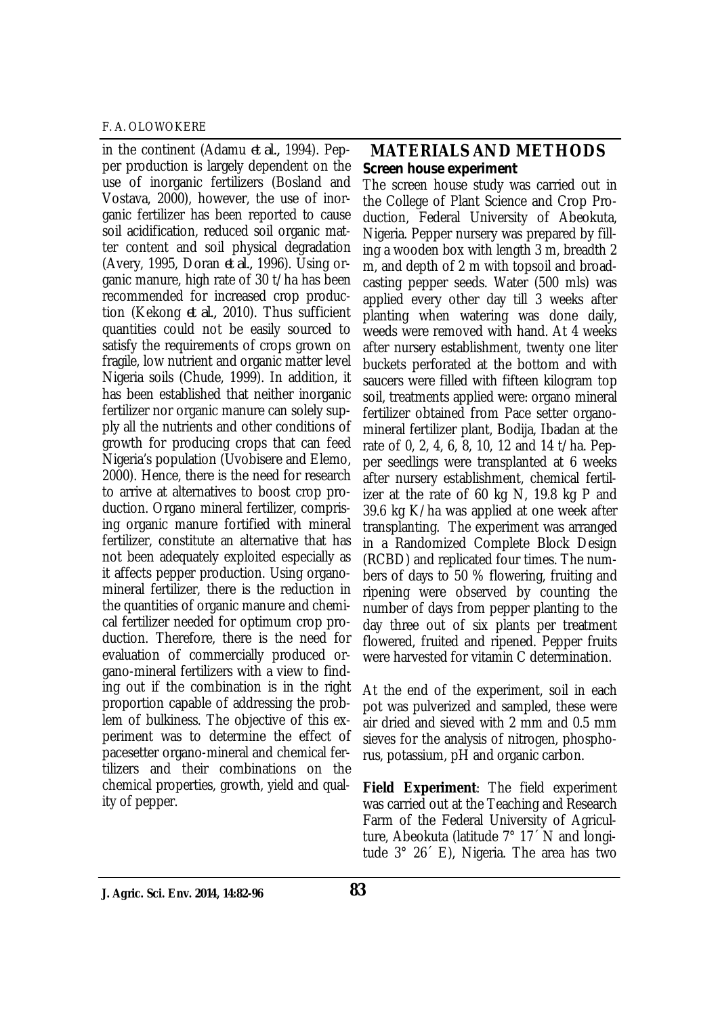in the continent (Adamu *et al.,* 1994). Pepper production is largely dependent on the use of inorganic fertilizers (Bosland and Vostava, 2000), however, the use of inorganic fertilizer has been reported to cause soil acidification, reduced soil organic matter content and soil physical degradation (Avery, 1995, Doran *et al.,* 1996). Using organic manure, high rate of 30 t/ha has been recommended for increased crop production (Kekong *et al.,* 2010). Thus sufficient quantities could not be easily sourced to satisfy the requirements of crops grown on fragile, low nutrient and organic matter level Nigeria soils (Chude, 1999). In addition, it has been established that neither inorganic fertilizer nor organic manure can solely supply all the nutrients and other conditions of growth for producing crops that can feed Nigeria's population (Uvobisere and Elemo, 2000). Hence, there is the need for research to arrive at alternatives to boost crop production. Organo mineral fertilizer, comprising organic manure fortified with mineral fertilizer, constitute an alternative that has not been adequately exploited especially as it affects pepper production. Using organomineral fertilizer, there is the reduction in the quantities of organic manure and chemical fertilizer needed for optimum crop production. Therefore, there is the need for evaluation of commercially produced organo-mineral fertilizers with a view to finding out if the combination is in the right proportion capable of addressing the problem of bulkiness. The objective of this experiment was to determine the effect of pacesetter organo-mineral and chemical fertilizers and their combinations on the chemical properties, growth, yield and quality of pepper.

## **MATERIALS AND METHODS** *Screen house experiment*

The screen house study was carried out in the College of Plant Science and Crop Production, Federal University of Abeokuta, Nigeria. Pepper nursery was prepared by filling a wooden box with length 3 m, breadth 2 m, and depth of 2 m with topsoil and broadcasting pepper seeds. Water (500 mls) was applied every other day till 3 weeks after planting when watering was done daily, weeds were removed with hand. At 4 weeks after nursery establishment, twenty one liter buckets perforated at the bottom and with saucers were filled with fifteen kilogram top soil, treatments applied were: organo mineral fertilizer obtained from Pace setter organomineral fertilizer plant, Bodija, Ibadan at the rate of 0, 2, 4, 6, 8, 10, 12 and 14 t/ha. Pepper seedlings were transplanted at 6 weeks after nursery establishment, chemical fertilizer at the rate of 60 kg N, 19.8 kg P and 39.6 kg K/ha was applied at one week after transplanting. The experiment was arranged in a Randomized Complete Block Design (RCBD) and replicated four times. The numbers of days to 50 % flowering, fruiting and ripening were observed by counting the number of days from pepper planting to the day three out of six plants per treatment flowered, fruited and ripened. Pepper fruits were harvested for vitamin C determination.

At the end of the experiment, soil in each pot was pulverized and sampled, these were air dried and sieved with 2 mm and 0.5 mm sieves for the analysis of nitrogen, phosphorus, potassium, pH and organic carbon.

**Field Experiment**: The field experiment was carried out at the Teaching and Research Farm of the Federal University of Agriculture, Abeokuta (latitude 7° 17´ N and longitude 3° 26´ E), Nigeria. The area has two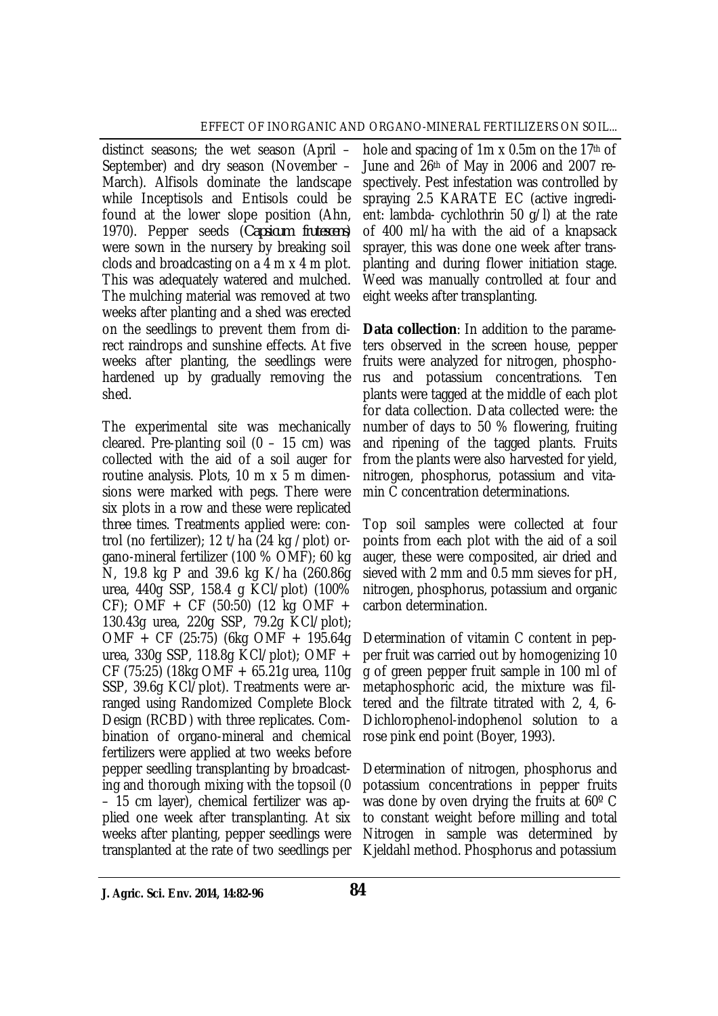distinct seasons; the wet season (April – September) and dry season (November – March). Alfisols dominate the landscape while Inceptisols and Entisols could be found at the lower slope position (Ahn, 1970). Pepper seeds (*Capsicum frutescens*) were sown in the nursery by breaking soil clods and broadcasting on a 4 m x 4 m plot. This was adequately watered and mulched. The mulching material was removed at two weeks after planting and a shed was erected on the seedlings to prevent them from direct raindrops and sunshine effects. At five weeks after planting, the seedlings were hardened up by gradually removing the shed.

The experimental site was mechanically cleared. Pre-planting soil  $(0 - 15$  cm) was collected with the aid of a soil auger for routine analysis. Plots, 10 m x 5 m dimensions were marked with pegs. There were six plots in a row and these were replicated three times. Treatments applied were: control (no fertilizer); 12 t/ha (24 kg /plot) organo-mineral fertilizer (100 % OMF); 60 kg N, 19.8 kg P and 39.6 kg K/ha (260.86g urea, 440g SSP, 158.4 g KCl/plot) (100%  $CF$ ); OMF + CF (50:50) (12 kg OMF + 130.43g urea, 220g SSP, 79.2g KCl/plot); OMF + CF (25:75) (6kg OMF + 195.64g urea, 330g SSP, 118.8g KCl/plot); OMF + CF (75:25) (18kg OMF + 65.21g urea, 110g SSP, 39.6g KCl/plot). Treatments were arranged using Randomized Complete Block Design (RCBD) with three replicates. Combination of organo-mineral and chemical fertilizers were applied at two weeks before pepper seedling transplanting by broadcasting and thorough mixing with the topsoil (0 – 15 cm layer), chemical fertilizer was applied one week after transplanting. At six weeks after planting, pepper seedlings were transplanted at the rate of two seedlings per

hole and spacing of 1m x 0.5m on the 17th of June and 26th of May in 2006 and 2007 respectively. Pest infestation was controlled by spraying 2.5 KARATE EC (active ingredient: lambda- cychlothrin 50 g/l) at the rate of 400 ml/ha with the aid of a knapsack sprayer, this was done one week after transplanting and during flower initiation stage. Weed was manually controlled at four and eight weeks after transplanting.

**Data collection**: In addition to the parameters observed in the screen house, pepper fruits were analyzed for nitrogen, phosphorus and potassium concentrations. Ten plants were tagged at the middle of each plot for data collection. Data collected were: the number of days to 50 % flowering, fruiting and ripening of the tagged plants. Fruits from the plants were also harvested for yield, nitrogen, phosphorus, potassium and vitamin C concentration determinations.

Top soil samples were collected at four points from each plot with the aid of a soil auger, these were composited, air dried and sieved with 2 mm and 0.5 mm sieves for pH, nitrogen, phosphorus, potassium and organic carbon determination.

Determination of vitamin C content in pepper fruit was carried out by homogenizing 10 g of green pepper fruit sample in 100 ml of metaphosphoric acid, the mixture was filtered and the filtrate titrated with 2, 4, 6- Dichlorophenol-indophenol solution to a rose pink end point (Boyer, 1993).

Determination of nitrogen, phosphorus and potassium concentrations in pepper fruits was done by oven drying the fruits at 60º C to constant weight before milling and total Nitrogen in sample was determined by Kjeldahl method. Phosphorus and potassium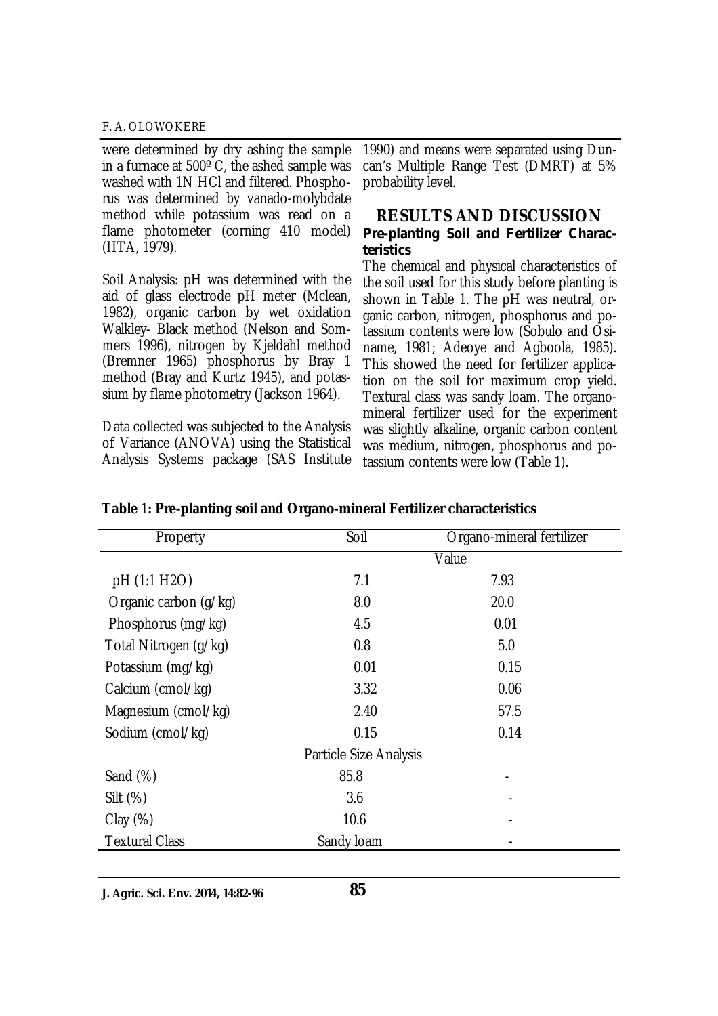were determined by dry ashing the sample in a furnace at 500º C, the ashed sample was washed with 1N HCl and filtered. Phosphorus was determined by vanado-molybdate method while potassium was read on a flame photometer (corning 410 model) (IITA, 1979).

Soil Analysis: pH was determined with the aid of glass electrode pH meter (Mclean, 1982), organic carbon by wet oxidation Walkley- Black method (Nelson and Sommers 1996), nitrogen by Kjeldahl method (Bremner 1965) phosphorus by Bray 1 method (Bray and Kurtz 1945), and potassium by flame photometry (Jackson 1964).

Data collected was subjected to the Analysis of Variance (ANOVA) using the Statistical Analysis Systems package (SAS Institute

1990) and means were separated using Duncan's Multiple Range Test (DMRT) at 5% probability level.

#### **RESULTS AND DISCUSSION** *Pre-planting Soil and Fertilizer Characteristics*

The chemical and physical characteristics of the soil used for this study before planting is shown in Table 1. The pH was neutral, organic carbon, nitrogen, phosphorus and potassium contents were low (Sobulo and Osiname, 1981; Adeoye and Agboola, 1985). This showed the need for fertilizer application on the soil for maximum crop yield. Textural class was sandy loam. The organomineral fertilizer used for the experiment was slightly alkaline, organic carbon content was medium, nitrogen, phosphorus and potassium contents were low (Table 1).

| Property              | Soil                          | Organo-mineral fertilizer |  |  |
|-----------------------|-------------------------------|---------------------------|--|--|
|                       |                               | Value                     |  |  |
| pH (1:1 H2O)          | 7.1                           | 7.93                      |  |  |
| Organic carbon (g/kg) | 8.0                           | 20.0                      |  |  |
| Phosphorus (mg/kg)    | 4.5                           | 0.01                      |  |  |
| Total Nitrogen (g/kg) | 0.8                           | 5.0                       |  |  |
| Potassium (mg/kg)     | 0.01                          | 0.15                      |  |  |
| Calcium (cmol/kg)     | 3.32                          | 0.06                      |  |  |
| Magnesium (cmol/kg)   | 2.40                          | 57.5                      |  |  |
| Sodium (cmol/kg)      | 0.15                          | 0.14                      |  |  |
|                       | <b>Particle Size Analysis</b> |                           |  |  |
| Sand $(\%)$           | 85.8                          |                           |  |  |
| Silt $(\%)$           | 3.6                           |                           |  |  |
| Clay(%)               | 10.6                          |                           |  |  |
| <b>Textural Class</b> | Sandy Ioam                    |                           |  |  |

## **Table** 1**: Pre-planting soil and Organo-mineral Fertilizer characteristics**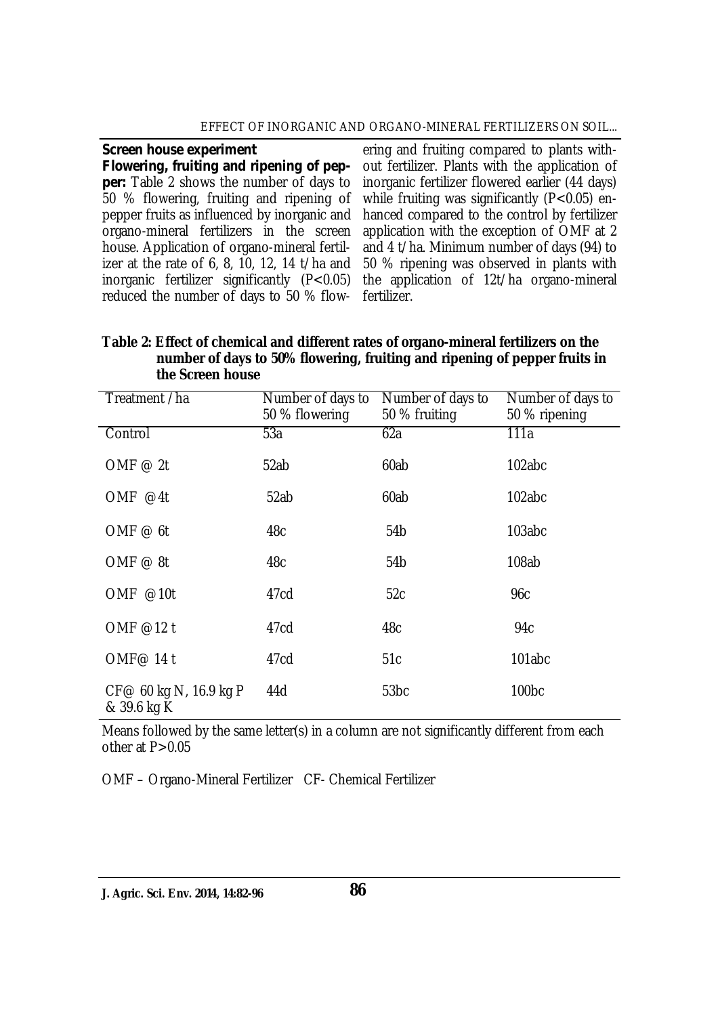#### EFFECT OF INORGANIC AND ORGANO-MINERAL FERTILIZERS ON SOIL...

*Screen house experiment* 

*Flowering, fruiting and ripening of pepper:* Table 2 shows the number of days to 50 % flowering, fruiting and ripening of pepper fruits as influenced by inorganic and organo-mineral fertilizers in the screen house. Application of organo-mineral fertilizer at the rate of 6, 8, 10, 12, 14 t/ha and inorganic fertilizer significantly (P<0.05) reduced the number of days to 50 % flow-

ering and fruiting compared to plants without fertilizer. Plants with the application of inorganic fertilizer flowered earlier (44 days) while fruiting was significantly (P<0.05) enhanced compared to the control by fertilizer application with the exception of OMF at 2 and 4 t/ha. Minimum number of days (94) to 50 % ripening was observed in plants with the application of 12t/ha organo-mineral fertilizer.

#### **Table 2: Effect of chemical and different rates of organo-mineral fertilizers on the number of days to 50% flowering, fruiting and ripening of pepper fruits in the Screen house**

| Treatment /ha                         | Number of days to<br>50 % flowering | Number of days to<br>50 % fruiting | Number of days to<br>50 % ripening |
|---------------------------------------|-------------------------------------|------------------------------------|------------------------------------|
| Control                               | 53a                                 | 62a                                | 111a                               |
| OMF $@2t$                             | 52ab                                | 60ab                               | 102abc                             |
| OMF $@4t$                             | 52ab                                | 60ab                               | 102abc                             |
| OMF $@$ 6t                            | 48c                                 | 54b                                | 103abc                             |
| OMF $@8t$                             | 48c                                 | 54 <sub>b</sub>                    | 108ab                              |
| OMF @10t                              | 47cd                                | 52c                                | 96с                                |
| OMF @12 t                             | 47cd                                | 48c                                | 94c                                |
| OMF@ 14 t                             | 47cd                                | 51c                                | 101abc                             |
| CF@ 60 kg N, 16.9 kg P<br>& 39.6 kg K | 44d                                 | 53 <sub>bc</sub>                   | 100 <sub>bc</sub>                  |

Means followed by the same letter(s) in a column are not significantly different from each other at  $P > 0.05$ 

OMF – Organo-Mineral Fertilizer CF- Chemical Fertilizer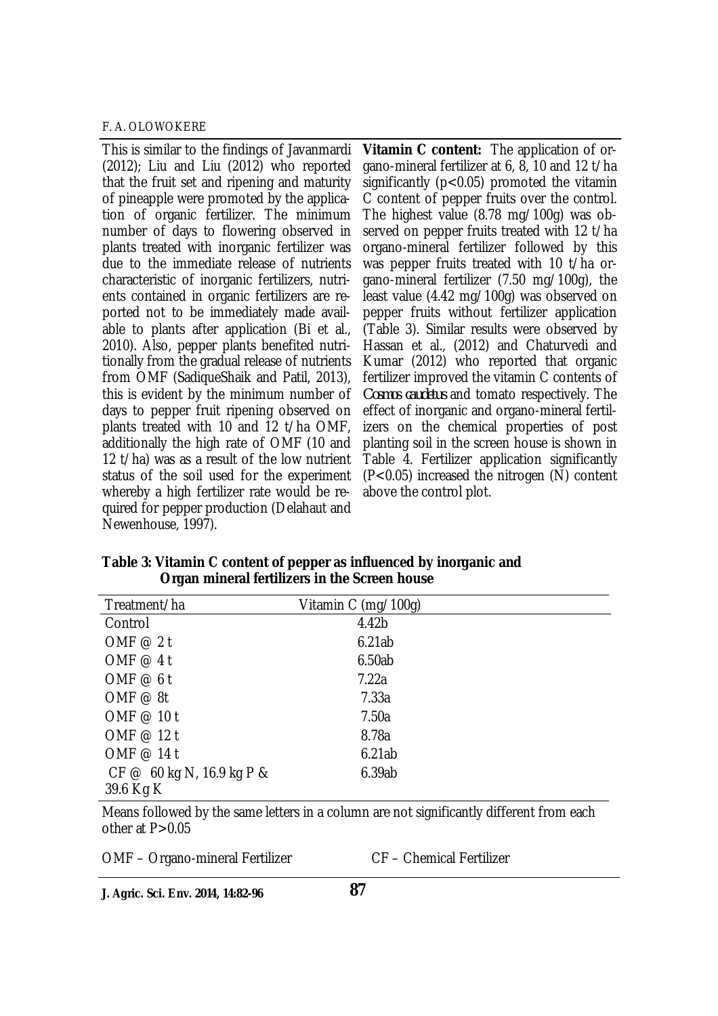This is similar to the findings of Javanmardi (2012); Liu and Liu (2012) who reported that the fruit set and ripening and maturity of pineapple were promoted by the application of organic fertilizer. The minimum number of days to flowering observed in plants treated with inorganic fertilizer was due to the immediate release of nutrients characteristic of inorganic fertilizers, nutrients contained in organic fertilizers are reported not to be immediately made available to plants after application (Bi et al., 2010). Also, pepper plants benefited nutritionally from the gradual release of nutrients from OMF (SadiqueShaik and Patil, 2013), this is evident by the minimum number of days to pepper fruit ripening observed on plants treated with 10 and 12 t/ha OMF, additionally the high rate of OMF (10 and 12 t/ha) was as a result of the low nutrient status of the soil used for the experiment whereby a high fertilizer rate would be required for pepper production (Delahaut and Newenhouse, 1997).

**Vitamin C content:** The application of organo-mineral fertilizer at 6, 8, 10 and 12 t/ha significantly ( $p < 0.05$ ) promoted the vitamin C content of pepper fruits over the control. The highest value (8.78 mg/100g) was observed on pepper fruits treated with 12 t/ha organo-mineral fertilizer followed by this was pepper fruits treated with 10 t/ha organo-mineral fertilizer (7.50 mg/100g), the least value (4.42 mg/100g) was observed on pepper fruits without fertilizer application (Table 3). Similar results were observed by Hassan et al., (2012) and Chaturvedi and Kumar (2012) who reported that organic fertilizer improved the vitamin C contents of *Cosmos caudetus* and tomato respectively. The effect of inorganic and organo-mineral fertilizers on the chemical properties of post planting soil in the screen house is shown in Table 4. Fertilizer application significantly  $(P<0.05)$  increased the nitrogen  $(N)$  content above the control plot.

| Treatment/ha              | Vitamin C (mg/100g) |  |
|---------------------------|---------------------|--|
| Control                   | 4.42b               |  |
| OMF $@2t$                 | 6.21ab              |  |
| OMF $@4t$                 | 6.50ab              |  |
| OMF $@6t$                 | 7.22a               |  |
| OMF $@8t$                 | 7.33a               |  |
| OMF @ 10 t                | 7.50a               |  |
| OMF @ 12 t                | 8.78a               |  |
| OMF @ 14 t                | 6.21ab              |  |
| CF @ 60 kg N, 16.9 kg P & | 6.39ab              |  |
| 39.6 Kg K                 |                     |  |

**Table 3: Vitamin C content of pepper as influenced by inorganic and Organ mineral fertilizers in the Screen house**

Means followed by the same letters in a column are not significantly different from each other at  $P > 0.05$ 

OMF – Organo-mineral Fertilizer CF – Chemical Fertilizer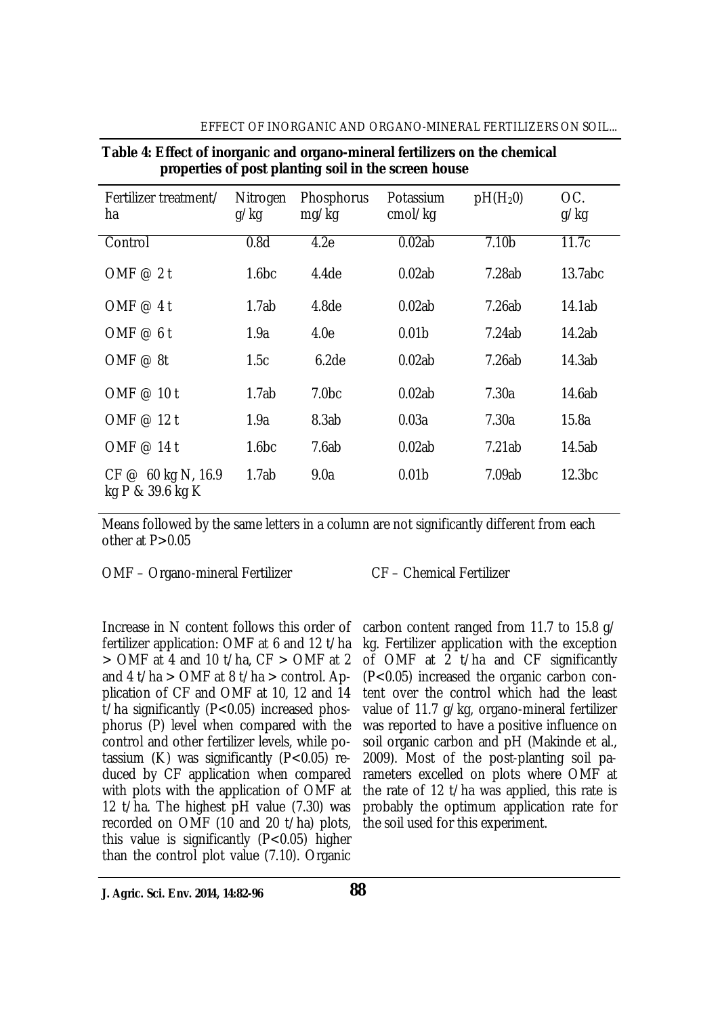|                                        | . <u>.</u>         |                            |                      |                   |                    |
|----------------------------------------|--------------------|----------------------------|----------------------|-------------------|--------------------|
| Fertilizer treatment/<br>ha            | Nitrogen<br>g/kg   | <b>Phosphorus</b><br>mg/kg | Potassium<br>cmol/kq | $pH(H_20)$        | OC.<br>g/kg        |
| Control                                | 0.8d               | 4.2e                       | 0.02ab               | 7.10 <sub>b</sub> | 11.7c              |
| OMF $@2t$                              | 1.6 <sub>b</sub> c | 4.4 <sub>de</sub>          | 0.02ab               | 7.28ab            | 13.7abc            |
| OMF $@4t$                              | 1.7ab              | 4.8 <sub>de</sub>          | 0.02ab               | 7.26ab            | 14.1ab             |
| OMF $@6t$                              | 1.9a               | 4.0e                       | 0.01 <sub>b</sub>    | 7.24ab            | 14.2ab             |
| OMF $@8t$                              | 1.5c               | 6.2de                      | 0.02ab               | 7.26ab            | 14.3ab             |
| OMF @ 10 t                             | 1.7ab              | 7.0 <sub>bc</sub>          | 0.02ab               | 7.30a             | 14.6ab             |
| OMF @ 12 t                             | 1.9a               | 8.3ab                      | 0.03a                | 7.30a             | 15.8a              |
| OMF @ 14 t                             | 1.6 <sub>b</sub> c | 7.6ab                      | 0.02ab               | 7.21ab            | 14.5ab             |
| CF @ 60 kg N, 16.9<br>kg P & 39.6 kg K | 1.7ab              | 9.0a                       | 0.01 <sub>b</sub>    | 7.09ab            | 12.3 <sub>bc</sub> |

# EFFECT OF INORGANIC AND ORGANO-MINERAL FERTILIZERS ON SOIL...

**Table 4: Effect of inorganic and organo-mineral fertilizers on the chemical properties of post planting soil in the screen house**

Means followed by the same letters in a column are not significantly different from each

other at  $P > 0.05$ 

OMF – Organo-mineral Fertilizer CF – Chemical Fertilizer

fertilizer application: OMF at 6 and 12 t/ha  $>$  OMF at 4 and 10 t/ha, CF  $>$  OMF at 2 and 4 t/ha  $>$  OMF at 8 t/ha  $>$  control. Application of CF and OMF at 10, 12 and 14 t/ha significantly (P<0.05) increased phosphorus (P) level when compared with the control and other fertilizer levels, while potassium  $(K)$  was significantly  $(P<0.05)$  reduced by CF application when compared with plots with the application of OMF at 12 t/ha. The highest pH value (7.30) was recorded on OMF (10 and 20 t/ha) plots, this value is significantly (P<0.05) higher than the control plot value (7.10). Organic

Increase in N content follows this order of carbon content ranged from 11.7 to 15.8 g/ kg. Fertilizer application with the exception of OMF at 2 t/ha and CF significantly (P<0.05) increased the organic carbon content over the control which had the least value of 11.7 g/kg, organo-mineral fertilizer was reported to have a positive influence on soil organic carbon and pH (Makinde et al., 2009). Most of the post-planting soil parameters excelled on plots where OMF at the rate of 12 t/ha was applied, this rate is probably the optimum application rate for the soil used for this experiment.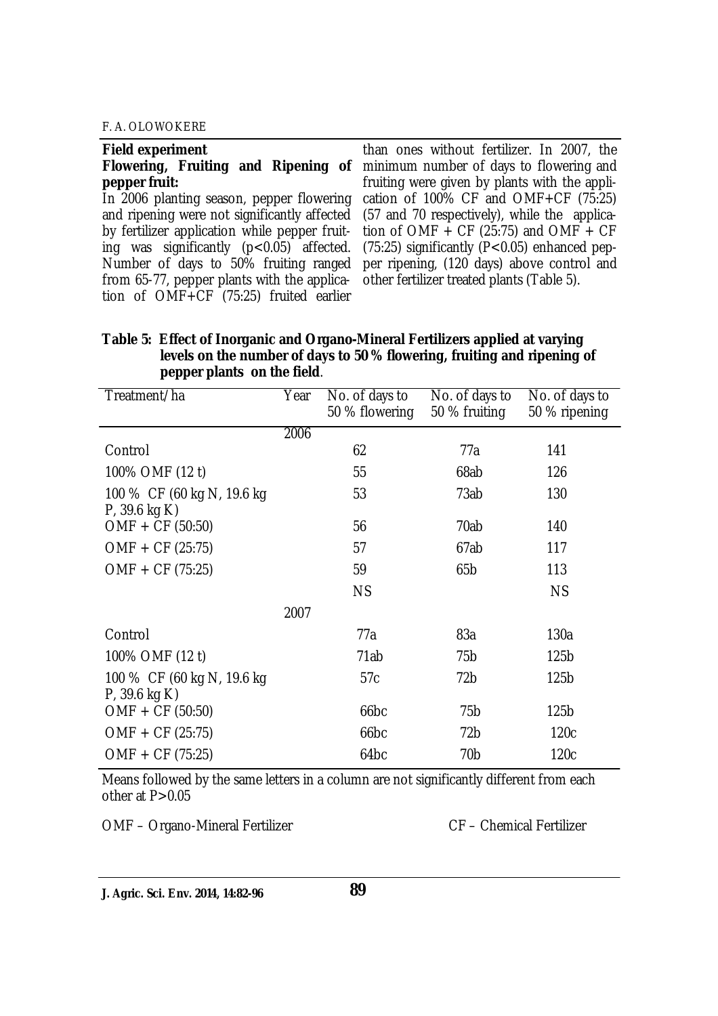| <b>Field experiment</b>                                                                | than ones without fertilizer. In 2007, the                                                        |
|----------------------------------------------------------------------------------------|---------------------------------------------------------------------------------------------------|
|                                                                                        | Flowering, Fruiting and Ripening of minimum number of days to flowering and                       |
| pepper fruit:                                                                          | fruiting were given by plants with the appli-                                                     |
|                                                                                        | In 2006 planting season, pepper flowering cation of 100% CF and OMF+CF (75:25)                    |
|                                                                                        | and ripening were not significantly affected (57 and 70 respectively), while the applica-         |
|                                                                                        | by fertilizer application while pepper fruit- tion of OMF + CF (25:75) and OMF + CF               |
|                                                                                        | ing was significantly ( $p < 0.05$ ) affected. (75:25) significantly ( $P < 0.05$ ) enhanced pep- |
|                                                                                        | Number of days to 50% fruiting ranged per ripening, (120 days) above control and                  |
| from 65-77, pepper plants with the applica- other fertilizer treated plants (Table 5). |                                                                                                   |
| tion of OMF+CF (75:25) fruited earlier                                                 |                                                                                                   |

| Table 5: Effect of Inorganic and Organo-Mineral Fertilizers applied at varying |
|--------------------------------------------------------------------------------|
| levels on the number of days to 50 % flowering, fruiting and ripening of       |
| pepper plants on the field.                                                    |

| Treatment/ha                                   | Year | No. of days to<br>50 % flowering | No. of days to<br>50 % fruiting | No. of days to<br>50 % ripening |
|------------------------------------------------|------|----------------------------------|---------------------------------|---------------------------------|
|                                                | 2006 |                                  |                                 |                                 |
| Control                                        |      | 62                               | 77a                             | 141                             |
| 100% OMF (12 t)                                |      | 55                               | 68ab                            | 126                             |
| 100 % CF (60 kg N, 19.6 kg<br>$P$ , 39.6 kg K) |      | 53                               | 73ab                            | 130                             |
| OMF + CF (50:50)                               |      | 56                               | 70ab                            | 140                             |
| $OMF + CF (25:75)$                             |      | 57                               | 67ab                            | 117                             |
| $OMF + CF (75:25)$                             |      | 59                               | 65 <sub>b</sub>                 | 113                             |
|                                                |      | <b>NS</b>                        |                                 | <b>NS</b>                       |
|                                                | 2007 |                                  |                                 |                                 |
| Control                                        |      | 77a                              | 83a                             | 130a                            |
| 100% OMF (12 t)                                |      | 71ab                             | 75 <sub>b</sub>                 | 125 <sub>b</sub>                |
| 100 % CF (60 kg N, 19.6 kg<br>$P$ , 39.6 kg K) |      | 57c                              | 72 <sub>b</sub>                 | 125 <sub>b</sub>                |
| $OMF + CF (50:50)$                             |      | 66 <sub>bc</sub>                 | 75 <sub>b</sub>                 | 125 <sub>b</sub>                |
| $OMF + CF (25:75)$                             |      | 66 <sub>bc</sub>                 | 72b                             | 120 <sub>c</sub>                |
| $OMF + CF (75:25)$                             |      | 64 <sub>bc</sub>                 | 70 <sub>b</sub>                 | 120 <sub>c</sub>                |

Means followed by the same letters in a column are not significantly different from each other at P>0.05

OMF – Organo-Mineral Fertilizer CF – Chemical Fertilizer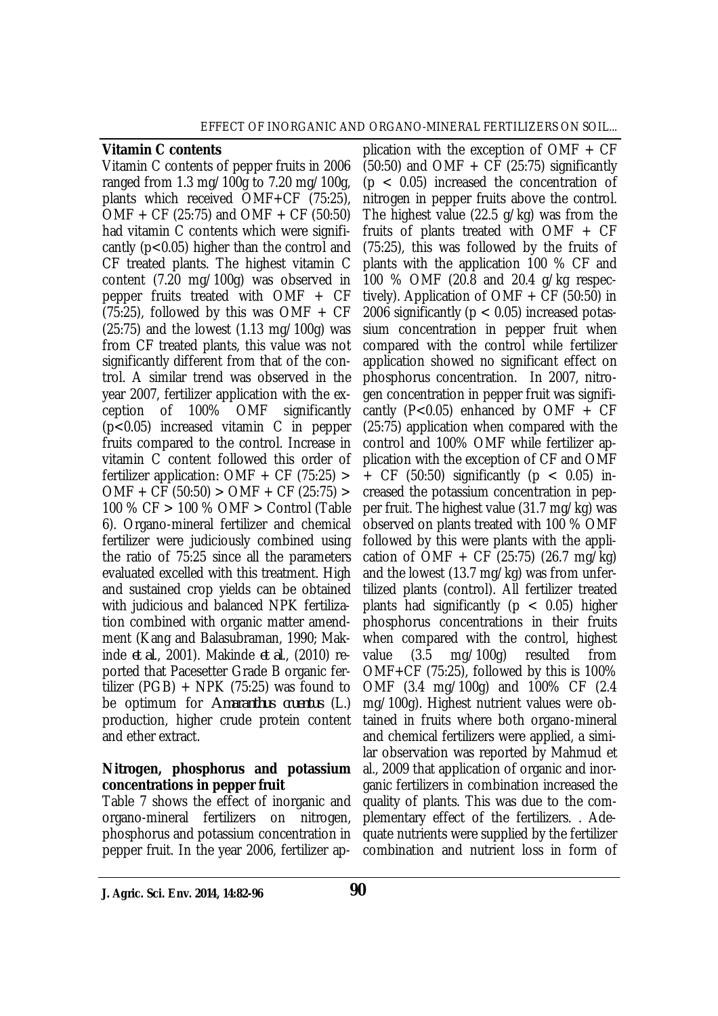#### **Vitamin C contents**

Vitamin C contents of pepper fruits in 2006 ranged from 1.3 mg/100g to 7.20 mg/100g, plants which received OMF+CF (75:25), OMF + CF (25:75) and OMF + CF (50:50) had vitamin C contents which were significantly (p<0.05) higher than the control and CF treated plants. The highest vitamin C content (7.20 mg/100g) was observed in pepper fruits treated with OMF + CF  $(75:25)$ , followed by this was OMF + CF (25:75) and the lowest (1.13 mg/100g) was from CF treated plants, this value was not significantly different from that of the control. A similar trend was observed in the year 2007, fertilizer application with the exception of 100% OMF significantly (p<0.05) increased vitamin C in pepper fruits compared to the control. Increase in vitamin C content followed this order of fertilizer application: OMF + CF (75:25) > OMF + CF (50:50) > OMF + CF (25:75) > 100 % CF > 100 % OMF > Control (Table 6). Organo-mineral fertilizer and chemical fertilizer were judiciously combined using the ratio of 75:25 since all the parameters evaluated excelled with this treatment. High and sustained crop yields can be obtained with judicious and balanced NPK fertilization combined with organic matter amendment (Kang and Balasubraman, 1990; Makinde *et al*., 2001). Makinde *et al*., (2010) reported that Pacesetter Grade B organic fertilizer (PGB)  $+$  NPK (75:25) was found to be optimum for *Amaranthus cruentus* (L.) production, higher crude protein content and ether extract.

#### **Nitrogen, phosphorus and potassium concentrations in pepper fruit**

Table 7 shows the effect of inorganic and organo-mineral fertilizers on nitrogen, phosphorus and potassium concentration in pepper fruit. In the year 2006, fertilizer ap-

plication with the exception of OMF  $+$  CF  $(50:50)$  and OMF + CF  $(25:75)$  significantly  $(p < 0.05)$  increased the concentration of nitrogen in pepper fruits above the control. The highest value (22.5 g/kg) was from the fruits of plants treated with OMF + CF (75:25), this was followed by the fruits of plants with the application 100 % CF and 100 % OMF (20.8 and 20.4 g/kg respectively). Application of OMF  $+$  CF (50:50) in 2006 significantly ( $p < 0.05$ ) increased potassium concentration in pepper fruit when compared with the control while fertilizer application showed no significant effect on phosphorus concentration. In 2007, nitrogen concentration in pepper fruit was significantly (P<0.05) enhanced by OMF  $+$  CF (25:75) application when compared with the control and 100% OMF while fertilizer application with the exception of CF and OMF + CF (50:50) significantly ( $p < 0.05$ ) increased the potassium concentration in pepper fruit. The highest value (31.7 mg/kg) was observed on plants treated with 100 % OMF followed by this were plants with the application of  $\overline{OMF}$  + CF (25:75) (26.7 mg/kg) and the lowest (13.7 mg/kg) was from unfertilized plants (control). All fertilizer treated plants had significantly ( $p < 0.05$ ) higher phosphorus concentrations in their fruits when compared with the control, highest value (3.5 mg/100g) resulted from  $OMF+CF$  (75:25), followed by this is 100% OMF (3.4 mg/100g) and 100% CF (2.4 mg/100g). Highest nutrient values were obtained in fruits where both organo-mineral and chemical fertilizers were applied, a similar observation was reported by Mahmud et al., 2009 that application of organic and inorganic fertilizers in combination increased the quality of plants. This was due to the complementary effect of the fertilizers. . Adequate nutrients were supplied by the fertilizer combination and nutrient loss in form of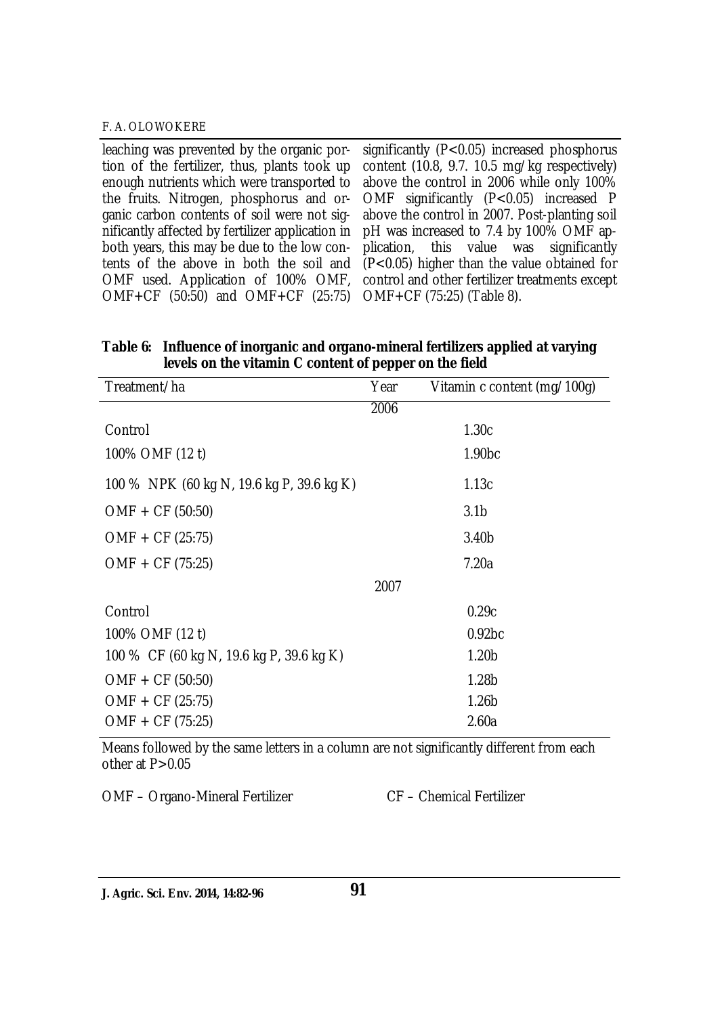leaching was prevented by the organic portion of the fertilizer, thus, plants took up enough nutrients which were transported to the fruits. Nitrogen, phosphorus and organic carbon contents of soil were not significantly affected by fertilizer application in both years, this may be due to the low contents of the above in both the soil and OMF used. Application of 100% OMF, OMF+CF (50:50) and OMF+CF (25:75) OMF+CF (75:25) (Table 8). significantly (P<0.05) increased phosphorus content (10.8, 9.7. 10.5 mg/kg respectively) above the control in 2006 while only 100% OMF significantly (P<0.05) increased P above the control in 2007. Post-planting soil pH was increased to 7.4 by 100% OMF application, this value was significantly (P<0.05) higher than the value obtained for control and other fertilizer treatments except

| Table 6: Influence of inorganic and organo-mineral fertilizers applied at varying |
|-----------------------------------------------------------------------------------|
| levels on the vitamin C content of pepper on the field                            |

| Treatment/ha                              | Year | Vitamin c content (mg/100g) |
|-------------------------------------------|------|-----------------------------|
|                                           | 2006 |                             |
| Control                                   |      | 1.30c                       |
| 100% OMF (12 t)                           |      | 1.90 <sub>bc</sub>          |
| 100 % NPK (60 kg N, 19.6 kg P, 39.6 kg K) |      | 1.13c                       |
| $OMF + CF (50:50)$                        |      | 3.1 <sub>b</sub>            |
| $OMF + CF (25:75)$                        |      | 3.40 <sub>b</sub>           |
| $OMF + CF (75:25)$                        |      | 7.20a                       |
|                                           | 2007 |                             |
| Control                                   |      | 0.29c                       |
| 100% OMF (12 t)                           |      | 0.92 <sub>bc</sub>          |
| 100 % CF (60 kg N, 19.6 kg P, 39.6 kg K)  |      | 1.20 <sub>b</sub>           |
| $OMF + CF (50:50)$                        |      | 1.28 <sub>b</sub>           |
| $OMF + CF (25:75)$                        |      | 1.26 <sub>b</sub>           |
| $OMF + CF (75:25)$                        |      | 2.60a                       |

Means followed by the same letters in a column are not significantly different from each other at P>0.05

OMF – Organo-Mineral Fertilizer CF – Chemical Fertilizer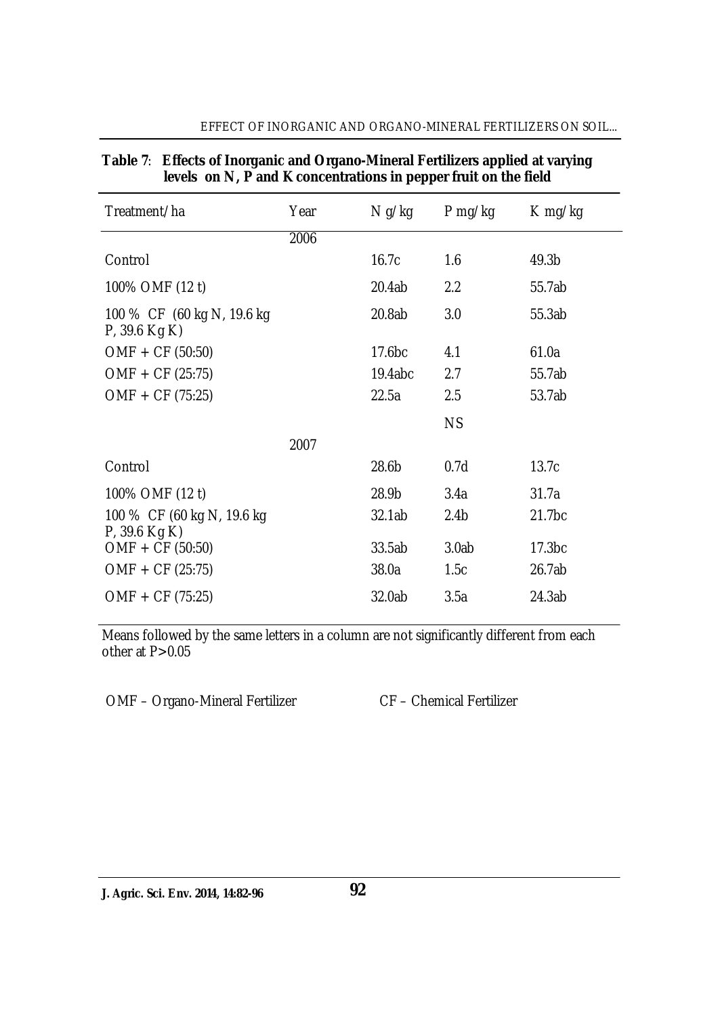| Effects of Inorganic and Organo-Mineral Fertilizers applied at varying<br>Table 7:<br>levels on N, P and K concentrations in pepper fruit on the field |      |                    |                  |                    |  |
|--------------------------------------------------------------------------------------------------------------------------------------------------------|------|--------------------|------------------|--------------------|--|
| Treatment/ha                                                                                                                                           | Year | N g/kg             | $P$ mg/kg        | $K$ mg/kg          |  |
|                                                                                                                                                        | 2006 |                    |                  |                    |  |
| Control                                                                                                                                                |      | 16.7c              | 1.6              | 49.3b              |  |
| 100% OMF (12 t)                                                                                                                                        |      | 20.4ab             | 2.2              | 55.7ab             |  |
| 100 % CF (60 kg N, 19.6 kg<br>$P$ , 39.6 Kg K)                                                                                                         |      | 20.8ab             | 3.0              | 55.3ab             |  |
| $OMF + CF (50:50)$                                                                                                                                     |      | 17.6 <sub>bc</sub> | 4.1              | 61.0a              |  |
| $OMF + CF (25:75)$                                                                                                                                     |      | 19.4abc            | 2.7              | 55.7ab             |  |
| OMF + CF (75:25)                                                                                                                                       |      | 22.5a              | 2.5              | 53.7ab             |  |
|                                                                                                                                                        |      |                    | <b>NS</b>        |                    |  |
|                                                                                                                                                        | 2007 |                    |                  |                    |  |
| Control                                                                                                                                                |      | 28.6b              | 0.7d             | 13.7c              |  |
| 100% OMF (12 t)                                                                                                                                        |      | 28.9b              | 3.4a             | 31.7a              |  |
| 100 % CF (60 kg N, 19.6 kg<br>$P$ , 39.6 Kg K)                                                                                                         |      | 32.1ab             | 2.4 <sub>b</sub> | 21.7 <sub>bc</sub> |  |
| OMF + CF (50:50)                                                                                                                                       |      | 33.5ab             | 3.0ab            | 17.3 <sub>bc</sub> |  |
| $OMF + CF (25:75)$                                                                                                                                     |      | 38.0a              | 1.5c             | 26.7ab             |  |
| OMF + CF (75:25)                                                                                                                                       |      | 32.0ab             | 3.5a             | 24.3ab             |  |

#### EFFECT OF INORGANIC AND ORGANO-MINERAL FERTILIZERS ON SOIL...

Means followed by the same letters in a column are not significantly different from each other at P>0.05

OMF – Organo-Mineral Fertilizer CF – Chemical Fertilizer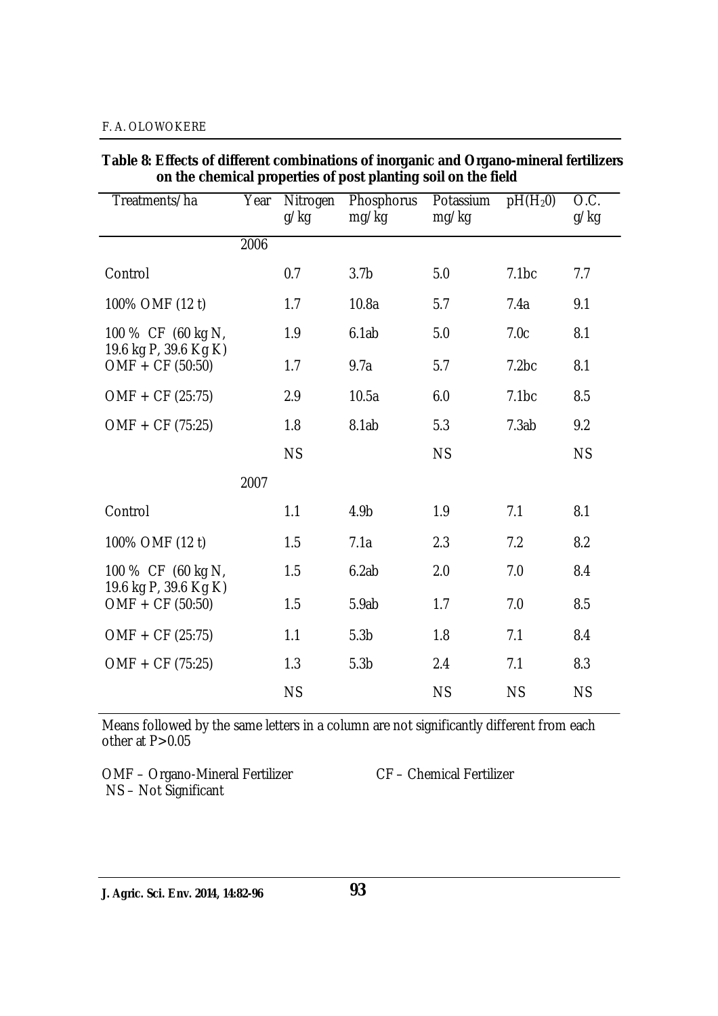| on the chemical properties or post planting son on the neig |      |                  |                            |                    |            |                           |
|-------------------------------------------------------------|------|------------------|----------------------------|--------------------|------------|---------------------------|
| Treatments/ha                                               | Year | Nitrogen<br>g/kg | <b>Phosphorus</b><br>mg/kg | Potassium<br>mg/kg | $pH(H_20)$ | $\overline{OC}$ .<br>g/kg |
|                                                             | 2006 |                  |                            |                    |            |                           |
| Control                                                     |      | 0.7              | 3.7 <sub>b</sub>           | 5.0                | 7.1bc      | 7.7                       |
| 100% OMF (12 t)                                             |      | 1.7              | 10.8a                      | 5.7                | 7.4a       | 9.1                       |
| 100 % CF (60 kg N,<br>19.6 kg P, 39.6 Kg K)                 |      | 1.9              | 6.1ab                      | 5.0                | 7.0c       | 8.1                       |
| $OMF + CF (50:50)$                                          |      | 1.7              | 9.7a                       | 5.7                | 7.2bc      | 8.1                       |
| $OMF + CF (25:75)$                                          |      | 2.9              | 10.5a                      | 6.0                | 7.1bc      | 8.5                       |
| $OMF + CF (75:25)$                                          |      | 1.8              | 8.1ab                      | 5.3                | 7.3ab      | 9.2                       |
|                                                             |      | <b>NS</b>        |                            | <b>NS</b>          |            | <b>NS</b>                 |
|                                                             | 2007 |                  |                            |                    |            |                           |
| Control                                                     |      | 1.1              | 4.9b                       | 1.9                | 7.1        | 8.1                       |
| 100% OMF (12 t)                                             |      | 1.5              | 7.1a                       | 2.3                | 7.2        | 8.2                       |
| 100 % CF (60 kg N,                                          |      | 1.5              | 6.2ab                      | 2.0                | 7.0        | 8.4                       |
| 19.6 kg P, 39.6 Kg K)<br>$OMF + CF (50:50)$                 |      | 1.5              | 5.9ab                      | 1.7                | 7.0        | 8.5                       |
| $OMF + CF (25:75)$                                          |      | 1.1              | 5.3 <sub>b</sub>           | 1.8                | 7.1        | 8.4                       |
| OMF + CF (75:25)                                            |      | 1.3              | 5.3 <sub>b</sub>           | 2.4                | 7.1        | 8.3                       |
|                                                             |      | <b>NS</b>        |                            | <b>NS</b>          | <b>NS</b>  | <b>NS</b>                 |

**Table 8: Effects of different combinations of inorganic and Organo-mineral fertilizers on the chemical properties of post planting soil on the field**

Means followed by the same letters in a column are not significantly different from each other at P>0.05

OMF – Organo-Mineral Fertilizer CF – Chemical Fertilizer NS – Not Significant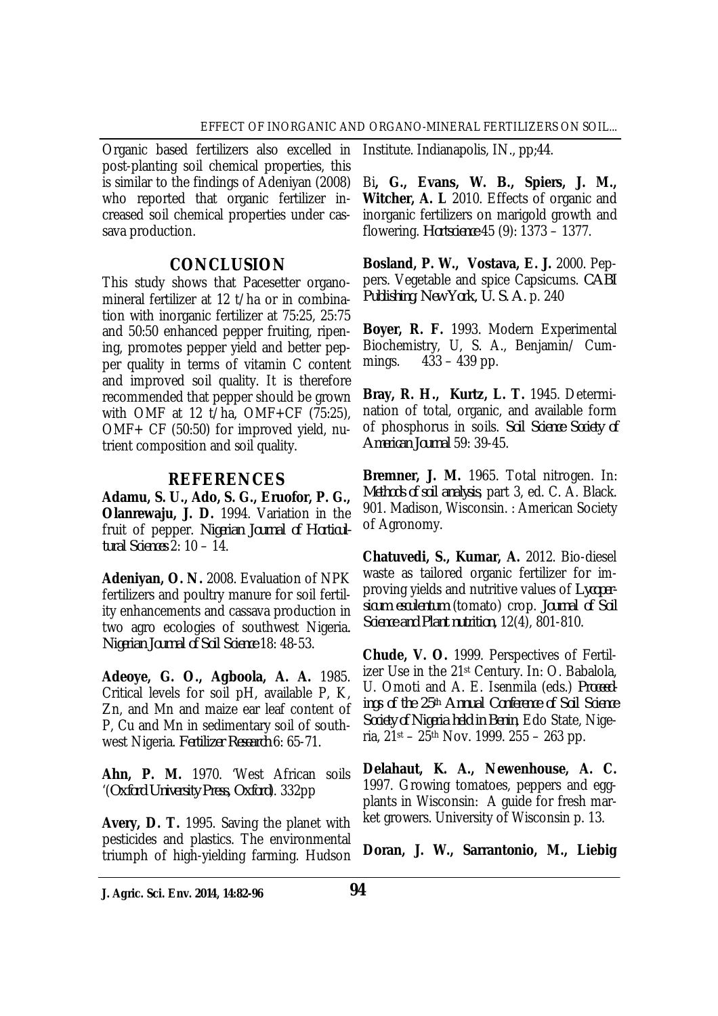Organic based fertilizers also excelled in post-planting soil chemical properties, this is similar to the findings of Adeniyan (2008) who reported that organic fertilizer increased soil chemical properties under cassava production.

## **CONCLUSION**

This study shows that Pacesetter organomineral fertilizer at 12 t/ha or in combination with inorganic fertilizer at 75:25, 25:75 and 50:50 enhanced pepper fruiting, ripening, promotes pepper yield and better pepper quality in terms of vitamin C content and improved soil quality. It is therefore recommended that pepper should be grown with OMF at 12 t/ha, OMF+CF (75:25), OMF+ CF (50:50) for improved yield, nutrient composition and soil quality.

## **REFERENCES**

**Adamu, S. U., Ado, S. G., Eruofor, P. G., Olanrewaju, J. D.** 1994. Variation in the fruit of pepper. *Nigerian Journal of Horticultural Sciences* 2: 10 – 14.

**Adeniyan, O. N.** 2008. Evaluation of NPK fertilizers and poultry manure for soil fertility enhancements and cassava production in two agro ecologies of southwest Nigeria*. Nigerian Journal of Soil Science* 18: 48-53.

**Adeoye, G. O., Agboola, A. A.** 1985. Critical levels for soil pH, available P, K, Zn, and Mn and maize ear leaf content of P, Cu and Mn in sedimentary soil of southwest Nigeria. *Fertilizer Research* 6: 65-71.

**Ahn, P. M.** 1970. 'West African soils '(*Oxford University Press, Oxford*). 332pp

**Avery, D. T.** 1995. Saving the planet with pesticides and plastics. The environmental triumph of high-yielding farming. Hudson Institute. Indianapolis, IN., pp;44.

Bi**, G., Evans, W. B., Spiers, J. M., Witcher, A. L** 2010. Effects of organic and inorganic fertilizers on marigold growth and flowering. *Hortscience* 45 (9): 1373 – 1377.

**Bosland, P. W., Vostava, E. J.** 2000. Peppers. Vegetable and spice Capsicums. *CABI Publishing, New York, U. S. A.* p. 240

**Boyer, R. F.** 1993. Modern Experimental Biochemistry, U, S. A., Benjamin/ Cummings. 433 – 439 pp.

**Bray, R. H., Kurtz, L. T.** 1945. Determination of total, organic, and available form of phosphorus in soils. *Soil Science Society of American Journal* 59: 39-45.

**Bremner, J. M.** 1965. Total nitrogen. In: *Methods of soil analysis*, part 3, ed. C. A. Black. 901. Madison, Wisconsin. : American Society of Agronomy.

**Chatuvedi, S., Kumar, A.** 2012. Bio-diesel waste as tailored organic fertilizer for improving yields and nutritive values of *Lycopersicum esculentum* (tomato) crop. *Journal of Soil Science and Plant nutrition,* 12(4), 801-810.

**Chude, V. O.** 1999. Perspectives of Fertilizer Use in the 21st Century. In: O. Babalola, U. Omoti and A. E. Isenmila (eds.) *Proceedings of the 25th Annual Conference of Soil Science Society of Nigeria held in Benin*, Edo State, Nigeria,  $21st - 25th$  Nov. 1999. 255 - 263 pp.

**Delahaut, K. A., Newenhouse, A. C.**  1997. Growing tomatoes, peppers and eggplants in Wisconsin: A guide for fresh market growers. University of Wisconsin p. 13.

**Doran, J. W., Sarrantonio, M., Liebig** 

**J. Agric. Sci. Env. 2014, 14:82-96 94**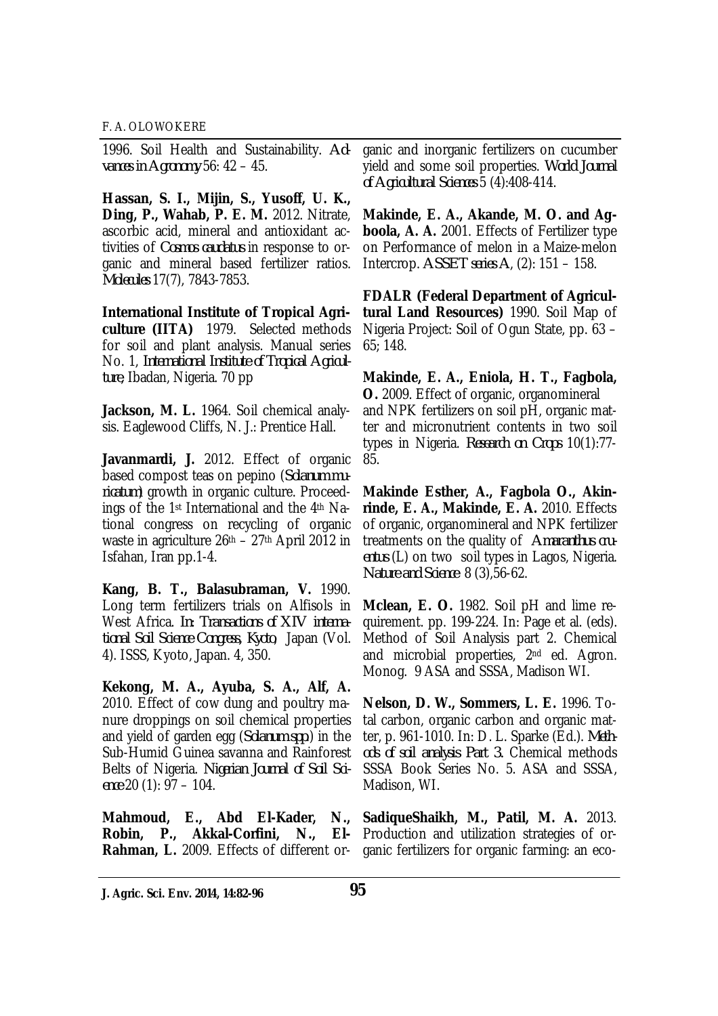1996. Soil Health and Sustainability. *Advances in Agronomy* 56: 42 – 45.

**Hassan, S. I., Mijin, S., Yusoff, U. K., Ding, P., Wahab, P. E. M.** 2012. Nitrate, ascorbic acid, mineral and antioxidant activities of *Cosmos caudatus* in response to organic and mineral based fertilizer ratios. *Molecules* 17(7), 7843-7853.

**International Institute of Tropical Agriculture (IITA)** 1979. Selected methods for soil and plant analysis. Manual series No. 1, *International Institute of Tropical Agriculture*, Ibadan, Nigeria. 70 pp

**Jackson, M. L.** 1964. Soil chemical analysis. Eaglewood Cliffs, N. J.: Prentice Hall.

Javanmardi, J. 2012. Effect of organic based compost teas on pepino (*Solanum muricatum*) growth in organic culture. Proceedings of the 1st International and the 4th National congress on recycling of organic waste in agriculture 26th – 27th April 2012 in Isfahan, Iran pp.1-4.

**Kang, B. T., Balasubraman, V.** 1990. Long term fertilizers trials on Alfisols in West Africa. *In: Transactions of XIV international Soil Science Congress, Kyoto*, Japan (Vol. 4). ISSS, Kyoto, Japan. 4, 350.

**Kekong, M. A., Ayuba, S. A., Alf, A.**  2010. Effect of cow dung and poultry manure droppings on soil chemical properties and yield of garden egg (*Solanum spp*.) in the Sub-Humid Guinea savanna and Rainforest Belts of Nigeria. *Nigerian Journal of Soil Science* 20 (1): 97 – 104.

**Mahmoud, E., Abd El-Kader, N.,** 

ganic and inorganic fertilizers on cucumber yield and some soil properties. *World Journal of Agricultural Sciences* 5 (4):408-414.

**Makinde, E. A., Akande, M. O. and Agboola, A. A.** 2001. Effects of Fertilizer type on Performance of melon in a Maize-melon Intercrop. *ASSET series A*, (2): 151 – 158.

**FDALR (Federal Department of Agricultural Land Resources)** 1990. Soil Map of Nigeria Project: Soil of Ogun State, pp. 63 – 65; 148.

**Makinde, E. A., Eniola, H. T., Fagbola, O.** 2009. Effect of organic, organomineral and NPK fertilizers on soil pH, organic matter and micronutrient contents in two soil types in Nigeria. *Research on Crops* 10(1):77- 85.

**Makinde Esther, A., Fagbola O., Akinrinde, E. A., Makinde, E. A.** 2010. Effects of organic, organomineral and NPK fertilizer treatments on the quality of *Amaranthus cruentus* (L) on two soil types in Lagos, Nigeria. *Nature and Science* 8 (3),56-62.

**Mclean, E. O.** 1982. Soil pH and lime requirement. pp. 199-224. In: Page et al. (eds). Method of Soil Analysis part 2. Chemical and microbial properties, 2nd ed. Agron. Monog. 9 ASA and SSSA, Madison WI.

**Nelson, D. W., Sommers, L. E.** 1996. Total carbon, organic carbon and organic matter, p. 961-1010. In: D. L. Sparke (Ed.). *Methods of soil analysis Part 3.* Chemical methods SSSA Book Series No. 5. ASA and SSSA, Madison, WI.

**Robin, P., Akkal-Corfini, N., El-** Production and utilization strategies of or-**Rahman, L.** 2009. Effects of different or- ganic fertilizers for organic farming: an eco-**SadiqueShaikh, M., Patil, M. A.** 2013.

**J. Agric. Sci. Env. 2014, 14:82-96 95**